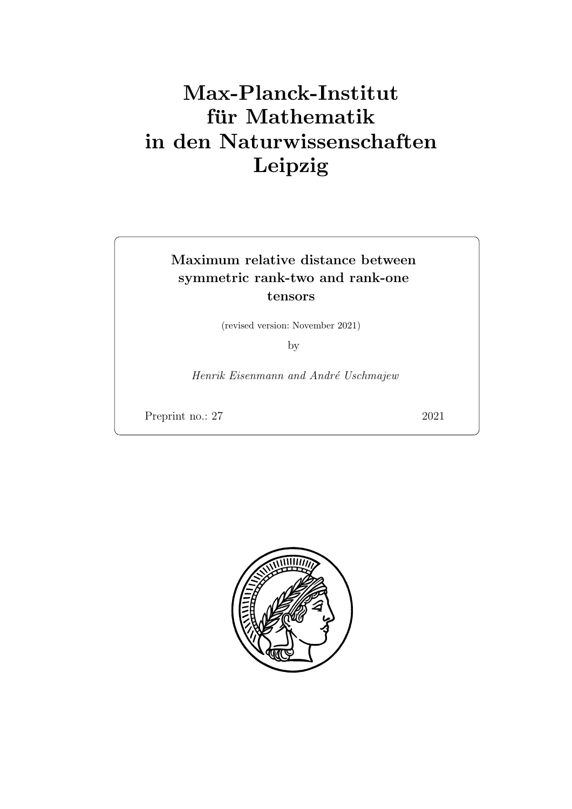# Max-Planck-Institut für Mathematik in den Naturwissenschaften Leipzig

# Maximum relative distance between symmetric rank-two and rank-one tensors

(revised version: November 2021)

by

Henrik Eisenmann and André Uschmajew

Preprint no.: 27 2021

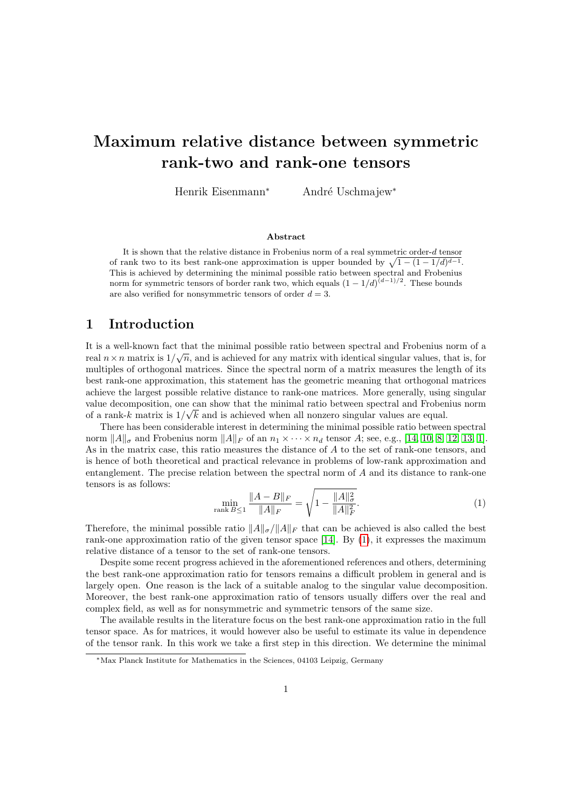# Maximum relative distance between symmetric rank-two and rank-one tensors

Henrik Eisenmann<sup>∗</sup> André Uschmajew<sup>∗</sup>

#### Abstract

It is shown that the relative distance in Frobenius norm of a real symmetric order-d tensor of rank two to its best rank-one approximation is upper bounded by  $\sqrt{1-(1-1/d)^{d-1}}$ . This is achieved by determining the minimal possible ratio between spectral and Frobenius norm for symmetric tensors of border rank two, which equals  $(1 - 1/d)^{(d-1)/2}$ . These bounds are also verified for nonsymmetric tensors of order  $d = 3$ .

# 1 Introduction

It is a well-known fact that the minimal possible ratio between spectral and Frobenius norm of a real  $n \times n$  matrix is  $1/\sqrt{n}$ , and is achieved for any matrix with identical singular values, that is, for multiples of orthogonal matrices. Since the spectral norm of a matrix measures the length of its best rank-one approximation, this statement has the geometric meaning that orthogonal matrices achieve the largest possible relative distance to rank-one matrices. More generally, using singular value decomposition, one can show that the minimal ratio between spectral and Frobenius norm of a rank-k matrix is  $1/\sqrt{k}$  and is achieved when all nonzero singular values are equal.

There has been considerable interest in determining the minimal possible ratio between spectral norm  $||A||_{\sigma}$  and Frobenius norm  $||A||_{F}$  of an  $n_1 \times \cdots \times n_d$  tensor A; see, e.g., [\[14,](#page-15-0) [10,](#page-15-1) [8,](#page-15-2) [12,](#page-15-3) [13,](#page-15-4) [1\]](#page-14-0). As in the matrix case, this ratio measures the distance of A to the set of rank-one tensors, and is hence of both theoretical and practical relevance in problems of low-rank approximation and entanglement. The precise relation between the spectral norm of A and its distance to rank-one tensors is as follows:

<span id="page-2-0"></span>
$$
\min_{\text{rank } B \le 1} \frac{\|A - B\|_F}{\|A\|_F} = \sqrt{1 - \frac{\|A\|_\sigma^2}{\|A\|_F^2}}.\tag{1}
$$

Therefore, the minimal possible ratio  $||A||_{\sigma}$ / $||A||_F$  that can be achieved is also called the best rank-one approximation ratio of the given tensor space [\[14\]](#page-15-0). By [\(1\)](#page-2-0), it expresses the maximum relative distance of a tensor to the set of rank-one tensors.

Despite some recent progress achieved in the aforementioned references and others, determining the best rank-one approximation ratio for tensors remains a difficult problem in general and is largely open. One reason is the lack of a suitable analog to the singular value decomposition. Moreover, the best rank-one approximation ratio of tensors usually differs over the real and complex field, as well as for nonsymmetric and symmetric tensors of the same size.

The available results in the literature focus on the best rank-one approximation ratio in the full tensor space. As for matrices, it would however also be useful to estimate its value in dependence of the tensor rank. In this work we take a first step in this direction. We determine the minimal

<sup>∗</sup>Max Planck Institute for Mathematics in the Sciences, 04103 Leipzig, Germany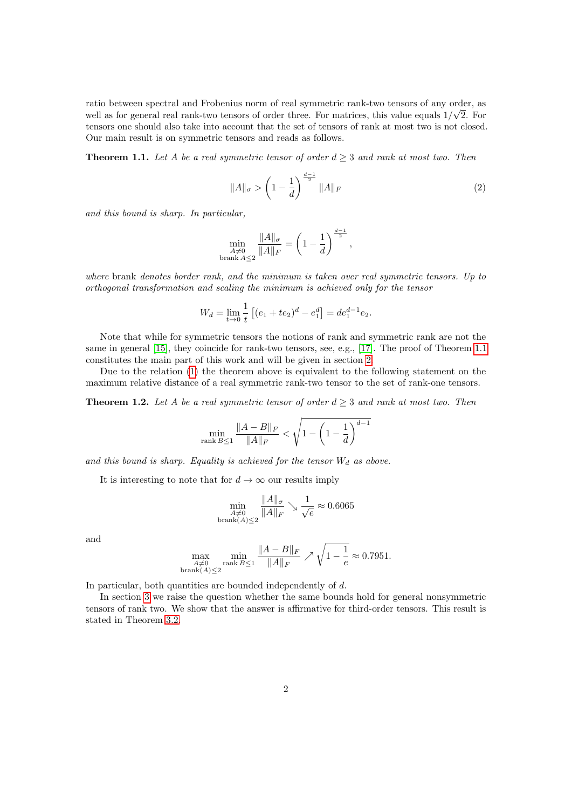ratio between spectral and Frobenius norm of real symmetric rank-two tensors of any order, as √ well as for general real rank-two tensors of order three. For matrices, this value equals  $1/\sqrt{2}$ . For tensors one should also take into account that the set of tensors of rank at most two is not closed. Our main result is on symmetric tensors and reads as follows.

<span id="page-3-0"></span>**Theorem 1.1.** Let A be a real symmetric tensor of order  $d \geq 3$  and rank at most two. Then

<span id="page-3-1"></span>
$$
||A||_{\sigma} > \left(1 - \frac{1}{d}\right)^{\frac{d-1}{2}} ||A||_{F}
$$
 (2)

and this bound is sharp. In particular,

$$
\min_{\substack{A \neq 0 \\ \text{branch } A \le 2}} \frac{\|A\|_{\sigma}}{\|A\|_{F}} = \left(1 - \frac{1}{d}\right)^{\frac{d-1}{2}},
$$

where brank denotes border rank, and the minimum is taken over real symmetric tensors. Up to orthogonal transformation and scaling the minimum is achieved only for the tensor

$$
W_d = \lim_{t \to 0} \frac{1}{t} \left[ (e_1 + te_2)^d - e_1^d \right] = de_1^{d-1} e_2.
$$

Note that while for symmetric tensors the notions of rank and symmetric rank are not the same in general [\[15\]](#page-15-5), they coincide for rank-two tensors, see, e.g., [\[17\]](#page-15-6). The proof of Theorem [1.1](#page-3-0) constitutes the main part of this work and will be given in section [2.](#page-5-0)

Due to the relation [\(1\)](#page-2-0) the theorem above is equivalent to the following statement on the maximum relative distance of a real symmetric rank-two tensor to the set of rank-one tensors.

**Theorem 1.2.** Let A be a real symmetric tensor of order  $d > 3$  and rank at most two. Then

$$
\min_{\text{rank } B \le 1} \frac{\|A - B\|_F}{\|A\|_F} < \sqrt{1 - \left(1 - \frac{1}{d}\right)^{d-1}}
$$

and this bound is sharp. Equality is achieved for the tensor  $W_d$  as above.

It is interesting to note that for  $d \to \infty$  our results imply

$$
\min_{\substack{A \neq 0 \\ \text{branch}(A) \le 2}} \frac{\|A\|_{\sigma}}{\|A\|_{F}} \searrow \frac{1}{\sqrt{e}} \approx 0.6065
$$

and

$$
\max_{\substack{A \neq 0 \\ \text{branch}(A) \le 2}} \min_{\text{rank } B \le 1} \frac{\|A - B\|_F}{\|A\|_F} \nearrow \sqrt{1 - \frac{1}{e}} \approx 0.7951.
$$

In particular, both quantities are bounded independently of d.

In section [3](#page-13-0) we raise the question whether the same bounds hold for general nonsymmetric tensors of rank two. We show that the answer is affirmative for third-order tensors. This result is stated in Theorem [3.2.](#page-13-1)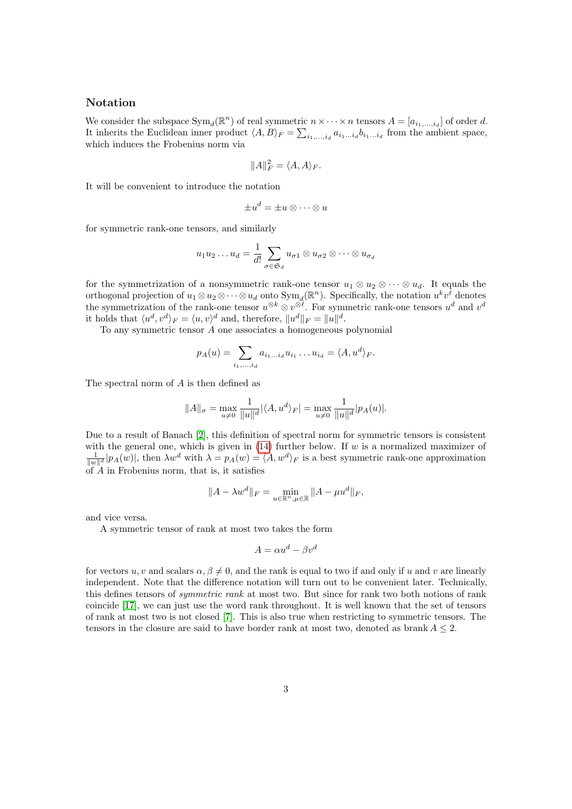#### Notation

We consider the subspace  $\text{Sym}_d(\mathbb{R}^n)$  of real symmetric  $n \times \cdots \times n$  tensors  $A = [a_{i_1,\ldots,i_d}]$  of order d. It inherits the Euclidean inner product  $\langle A, B \rangle_F = \sum_{i_1,\dots,i_d} a_{i_1\dots i_d} b_{i_1\dots i_d}$  from the ambient space, which induces the Frobenius norm via

$$
||A||_F^2 = \langle A, A \rangle_F.
$$

It will be convenient to introduce the notation

$$
\pm u^d = \pm u \otimes \cdots \otimes u
$$

for symmetric rank-one tensors, and similarly

$$
u_1u_2\ldots u_d=\frac{1}{d!}\sum_{\sigma\in\mathfrak{S}_d}u_{\sigma1}\otimes u_{\sigma2}\otimes\cdots\otimes u_{\sigma_d}
$$

for the symmetrization of a nonsymmetric rank-one tensor  $u_1 \otimes u_2 \otimes \cdots \otimes u_d$ . It equals the orthogonal projection of  $u_1 \otimes u_2 \otimes \cdots \otimes u_d$  onto  $Sym_d(\mathbb{R}^n)$ . Specifically, the notation  $u^k v^{\ell}$  denotes the symmetrization of the rank-one tensor  $u^{\otimes k} \otimes v^{\otimes \ell}$ . For symmetric rank-one tensors  $u^d$  and  $v^d$ it holds that  $\langle u^d, v^d \rangle_F = \langle u, v \rangle^d$  and, therefore,  $||u^d||_F = ||u||^d$ .

To any symmetric tensor A one associates a homogeneous polynomial

$$
p_A(u) = \sum_{i_1,\ldots,i_d} a_{i_1\ldots i_d} u_{i_1} \ldots u_{i_d} = \langle A, u^d \rangle_F.
$$

The spectral norm of A is then defined as

$$
||A||_{\sigma} = \max_{u \neq 0} \frac{1}{||u||^d} |\langle A, u^d \rangle_F| = \max_{u \neq 0} \frac{1}{||u||^d} |p_A(u)|.
$$

Due to a result of Banach [\[2\]](#page-14-1), this definition of spectral norm for symmetric tensors is consistent with the general one, which is given in  $(14)$  further below. If w is a normalized maximizer of  $\frac{1}{\|w\|^d} |p_A(w)|$ , then  $\lambda w^d$  with  $\lambda = p_A(w) = \langle A, w^d \rangle_F$  is a best symmetric rank-one approximation of  $A$  in Frobenius norm, that is, it satisfies

$$
||A - \lambda w^d||_F = \min_{u \in \mathbb{R}^n, \mu \in \mathbb{R}} ||A - \mu u^d||_F,
$$

and vice versa.

A symmetric tensor of rank at most two takes the form

$$
A = \alpha u^d - \beta v^d
$$

for vectors u, v and scalars  $\alpha, \beta \neq 0$ , and the rank is equal to two if and only if u and v are linearly independent. Note that the difference notation will turn out to be convenient later. Technically, this defines tensors of symmetric rank at most two. But since for rank two both notions of rank coincide [\[17\]](#page-15-6), we can just use the word rank throughout. It is well known that the set of tensors of rank at most two is not closed [\[7\]](#page-15-7). This is also true when restricting to symmetric tensors. The tensors in the closure are said to have border rank at most two, denoted as brank  $A \leq 2$ .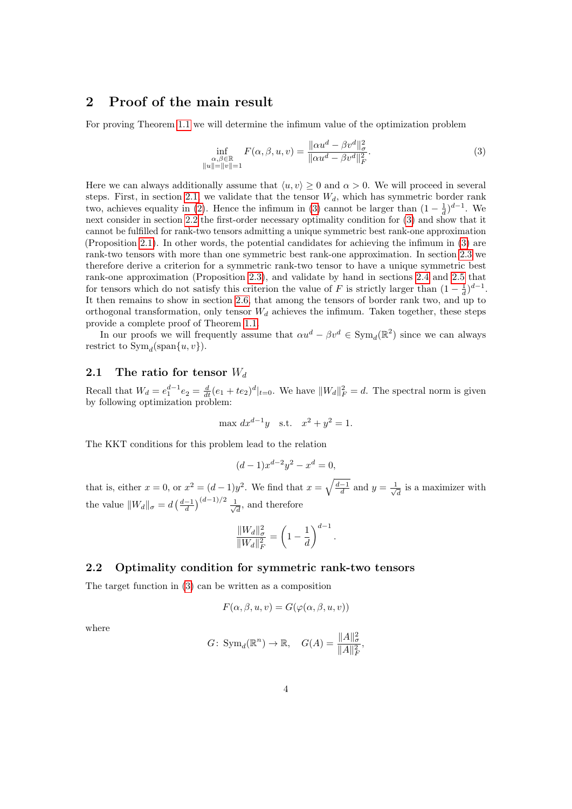# <span id="page-5-0"></span>2 Proof of the main result

For proving Theorem [1.1](#page-3-0) we will determine the infimum value of the optimization problem

<span id="page-5-2"></span>
$$
\inf_{\substack{\alpha,\beta \in \mathbb{R} \\ \|u\| = \|v\| = 1}} F(\alpha, \beta, u, v) = \frac{\|\alpha u^d - \beta v^d\|_{\sigma}^2}{\|\alpha u^d - \beta v^d\|_{F}^2}.
$$
\n(3)

Here we can always additionally assume that  $\langle u, v \rangle \ge 0$  and  $\alpha > 0$ . We will proceed in several steps. First, in section [2.1,](#page-5-1) we validate that the tensor  $W_d$ , which has symmetric border rank two, achieves equality in [\(2\)](#page-3-1). Hence the infimum in [\(3\)](#page-5-2) cannot be larger than  $(1 - \frac{1}{d})^{d-1}$ . We next consider in section [2.2](#page-5-3) the first-order necessary optimality condition for [\(3\)](#page-5-2) and show that it cannot be fulfilled for rank-two tensors admitting a unique symmetric best rank-one approximation (Proposition [2.1\)](#page-6-0). In other words, the potential candidates for achieving the infimum in [\(3\)](#page-5-2) are rank-two tensors with more than one symmetric best rank-one approximation. In section [2.3](#page-7-0) we therefore derive a criterion for a symmetric rank-two tensor to have a unique symmetric best rank-one approximation (Proposition [2.3\)](#page-7-1), and validate by hand in sections [2.4](#page-8-0) and [2.5](#page-9-0) that for tensors which do not satisfy this criterion the value of F is strictly larger than  $(1 - \frac{1}{d})^{d-1}$ . It then remains to show in section [2.6,](#page-11-0) that among the tensors of border rank two, and up to orthogonal transformation, only tensor  $W_d$  achieves the infimum. Taken together, these steps provide a complete proof of Theorem [1.1.](#page-3-0)

In our proofs we will frequently assume that  $\alpha u^d - \beta v^d \in \text{Sym}_d(\mathbb{R}^2)$  since we can always restrict to  $Sym_d(\text{span}\{u, v\})$ .

#### <span id="page-5-1"></span>2.1 The ratio for tensor  $W_d$

Recall that  $W_d = e_1^{d-1} e_2 = \frac{d}{dt} (e_1 + te_2)^d |_{t=0}$ . We have  $||W_d||_F^2 = d$ . The spectral norm is given by following optimization problem:

$$
\max dx^{d-1}y \quad \text{s.t.} \quad x^2 + y^2 = 1.
$$

The KKT conditions for this problem lead to the relation

$$
(d-1)x^{d-2}y^2 - x^d = 0,
$$

that is, either  $x = 0$ , or  $x^2 = (d-1)y^2$ . We find that  $x = \sqrt{\frac{d-1}{d}}$  and  $y = \frac{1}{\sqrt{d}}$  $\overline{\overline{d}}$  is a maximizer with the value  $||W_d||_{\sigma} = d\left(\frac{d-1}{d}\right)^{(d-1)/2} \frac{1}{\sqrt{d}}$  $\overline{\overline{d}}$ , and therefore

$$
\frac{\|W_d\|_{\sigma}^2}{\|W_d\|_F^2} = \left(1 - \frac{1}{d}\right)^{d-1}.
$$

#### <span id="page-5-3"></span>2.2 Optimality condition for symmetric rank-two tensors

The target function in [\(3\)](#page-5-2) can be written as a composition

$$
F(\alpha, \beta, u, v) = G(\varphi(\alpha, \beta, u, v))
$$

where

$$
G: Sym_d(\mathbb{R}^n) \to \mathbb{R}, \quad G(A) = \frac{\|A\|_{\sigma}^2}{\|A\|_{F}^2},
$$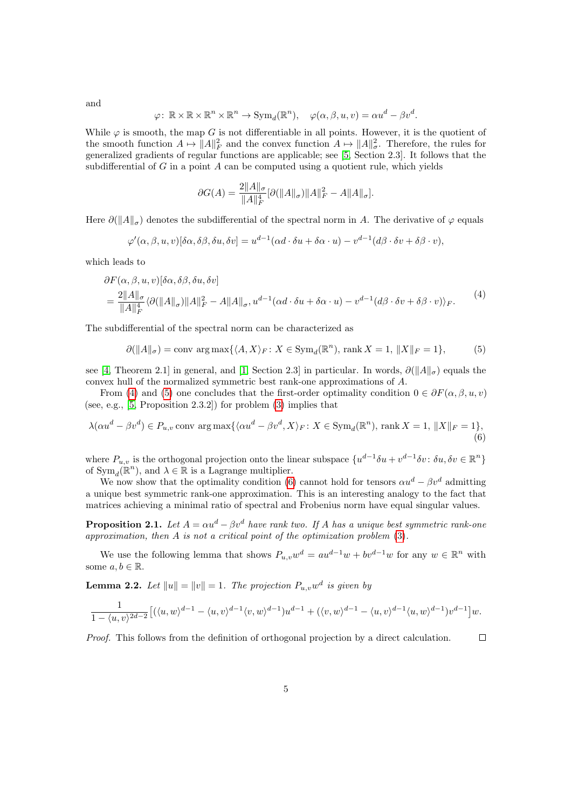and

$$
\varphi \colon \mathbb{R} \times \mathbb{R} \times \mathbb{R}^n \times \mathbb{R}^n \to \text{Sym}_d(\mathbb{R}^n), \quad \varphi(\alpha, \beta, u, v) = \alpha u^d - \beta v^d.
$$

While  $\varphi$  is smooth, the map G is not differentiable in all points. However, it is the quotient of the smooth function  $A \mapsto ||A||_F^2$  and the convex function  $A \mapsto ||A||_G^2$ . Therefore, the rules for generalized gradients of regular functions are applicable; see [\[5,](#page-14-2) Section 2.3]. It follows that the subdifferential of G in a point A can be computed using a quotient rule, which yields

$$
\partial G(A) = \frac{2||A||_{\sigma}}{||A||_F^4} [\partial (||A||_{\sigma}) ||A||_F^2 - A||A||_{\sigma}].
$$

Here  $\partial (\|A\|_{\sigma})$  denotes the subdifferential of the spectral norm in A. The derivative of  $\varphi$  equals

$$
\varphi'(\alpha,\beta,u,v)[\delta\alpha,\delta\beta,\delta u,\delta v] = u^{d-1}(\alpha d \cdot \delta u + \delta \alpha \cdot u) - v^{d-1}(d\beta \cdot \delta v + \delta \beta \cdot v),
$$

which leads to

<span id="page-6-1"></span>
$$
\partial F(\alpha, \beta, u, v)[\delta \alpha, \delta \beta, \delta u, \delta v] \n= \frac{2||A||_{\sigma}}{||A||_{F}^{4}} \langle \partial (||A||_{\sigma}) ||A||_{F}^{2} - A||A||_{\sigma}, u^{d-1}(\alpha d \cdot \delta u + \delta \alpha \cdot u) - v^{d-1}(d\beta \cdot \delta v + \delta \beta \cdot v) \rangle_{F}.
$$
\n(4)

The subdifferential of the spectral norm can be characterized as

<span id="page-6-3"></span><span id="page-6-2"></span>
$$
\partial(\|A\|_{\sigma}) = \text{conv arg max}\{\langle A, X\rangle_F : X \in \text{Sym}_d(\mathbb{R}^n), \text{ rank } X = 1, \|X\|_F = 1\},\tag{5}
$$

see [\[4,](#page-14-3) Theorem 2.1] in general, and [\[1,](#page-14-0) Section 2.3] in particular. In words,  $\partial (||A||_{\sigma})$  equals the convex hull of the normalized symmetric best rank-one approximations of A.

From [\(4\)](#page-6-1) and [\(5\)](#page-6-2) one concludes that the first-order optimality condition  $0 \in \partial F(\alpha, \beta, u, v)$ (see, e.g., [\[5,](#page-14-2) Proposition 2.3.2]) for problem [\(3\)](#page-5-2) implies that

$$
\lambda(\alpha u^d - \beta v^d) \in P_{u,v} \text{ conv } \arg \max \{ \langle \alpha u^d - \beta v^d, X \rangle_F : X \in \text{Sym}_d(\mathbb{R}^n), \text{ rank } X = 1, ||X||_F = 1 \},\tag{6}
$$

where  $P_{u,v}$  is the orthogonal projection onto the linear subspace  $\{u^{d-1}\delta u + v^{d-1}\delta v : \delta u, \delta v \in \mathbb{R}^n\}$ of  $\text{Sym}_d(\mathbb{R}^n)$ , and  $\lambda \in \mathbb{R}$  is a Lagrange multiplier.

We now show that the optimality condition [\(6\)](#page-6-3) cannot hold for tensors  $\alpha u^d - \beta v^d$  admitting a unique best symmetric rank-one approximation. This is an interesting analogy to the fact that matrices achieving a minimal ratio of spectral and Frobenius norm have equal singular values.

<span id="page-6-0"></span>**Proposition 2.1.** Let  $A = \alpha u^d - \beta v^d$  have rank two. If A has a unique best symmetric rank-one approximation, then A is not a critical point of the optimization problem [\(3\)](#page-5-2).

We use the following lemma that shows  $P_{u,v}w^d = au^{d-1}w + bv^{d-1}w$  for any  $w \in \mathbb{R}^n$  with some  $a, b \in \mathbb{R}$ .

<span id="page-6-4"></span>**Lemma 2.2.** Let  $||u|| = ||v|| = 1$ . The projection  $P_{u,v}w^d$  is given by

$$
\frac{1}{1-\langle u,v\rangle^{2d-2}}\big[(\langle u,w\rangle^{d-1}-\langle u,v\rangle^{d-1}\langle v,w\rangle^{d-1})u^{d-1}+(\langle v,w\rangle^{d-1}-\langle u,v\rangle^{d-1}\langle u,w\rangle^{d-1})v^{d-1}\big]w.
$$

Proof. This follows from the definition of orthogonal projection by a direct calculation.  $\Box$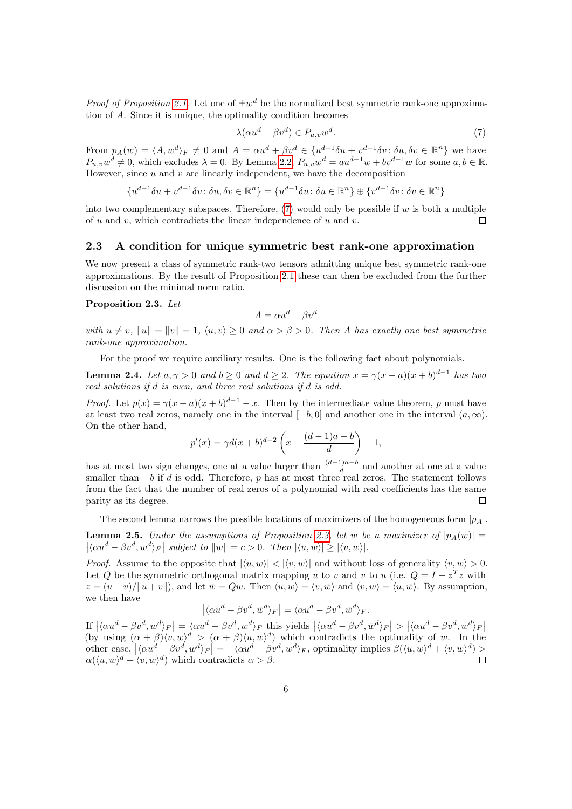*Proof of Proposition [2.1.](#page-6-0)* Let one of  $\pm w^d$  be the normalized best symmetric rank-one approximation of A. Since it is unique, the optimality condition becomes

<span id="page-7-2"></span>
$$
\lambda(\alpha u^d + \beta v^d) \in P_{u,v} w^d. \tag{7}
$$

From  $p_A(w) = \langle A, w^d \rangle_F \neq 0$  and  $A = \alpha u^d + \beta v^d \in \{u^{d-1}\delta u + v^{d-1}\delta v : \delta u, \delta v \in \mathbb{R}^n\}$  we have  $P_{u,v}w^d \neq 0$ , which excludes  $\lambda = 0$ . By Lemma [2.2,](#page-6-4)  $P_{u,v}w^d = au^{d-1}w + bv^{d-1}w$  for some  $a, b \in \mathbb{R}$ . However, since  $u$  and  $v$  are linearly independent, we have the decomposition

$$
\{u^{d-1}\delta u + v^{d-1}\delta v \colon \delta u, \delta v \in \mathbb{R}^n\} = \{u^{d-1}\delta u \colon \delta u \in \mathbb{R}^n\} \oplus \{v^{d-1}\delta v \colon \delta v \in \mathbb{R}^n\}
$$

into two complementary subspaces. Therefore,  $(7)$  would only be possible if w is both a multiple of u and v, which contradicts the linear independence of u and v.  $\Box$ 

#### <span id="page-7-0"></span>2.3 A condition for unique symmetric best rank-one approximation

We now present a class of symmetric rank-two tensors admitting unique best symmetric rank-one approximations. By the result of Proposition [2.1](#page-6-0) these can then be excluded from the further discussion on the minimal norm ratio.

#### <span id="page-7-1"></span>Proposition 2.3. Let

$$
A = \alpha u^d - \beta v^d
$$

with  $u \neq v$ ,  $||u|| = ||v|| = 1$ ,  $\langle u, v \rangle \geq 0$  and  $\alpha > \beta > 0$ . Then A has exactly one best symmetric rank-one approximation.

For the proof we require auxiliary results. One is the following fact about polynomials.

<span id="page-7-4"></span>**Lemma 2.4.** Let  $a, \gamma > 0$  and  $b \ge 0$  and  $d \ge 2$ . The equation  $x = \gamma(x - a)(x + b)^{d-1}$  has two real solutions if d is even, and three real solutions if d is odd.

*Proof.* Let  $p(x) = \gamma(x-a)(x+b)^{d-1} - x$ . Then by the intermediate value theorem, p must have at least two real zeros, namely one in the interval  $[-b, 0]$  and another one in the interval  $(a, \infty)$ . On the other hand,

$$
p'(x) = \gamma d(x+b)^{d-2} \left( x - \frac{(d-1)a - b}{d} \right) - 1,
$$

has at most two sign changes, one at a value larger than  $\frac{(d-1)a-b}{d}$  and another at one at a value smaller than  $-b$  if d is odd. Therefore, p has at most three real zeros. The statement follows from the fact that the number of real zeros of a polynomial with real coefficients has the same parity as its degree.  $\Box$ 

The second lemma narrows the possible locations of maximizers of the homogeneous form  $|p_A|$ .

<span id="page-7-3"></span>**Lemma 2.5.** Under the assumptions of Proposition [2.3,](#page-7-1) let w be a maximizer of  $|p_A(w)| =$  $\left| \langle \alpha u^d - \beta v^d, w^d \rangle_F \right|$  subject to  $||w|| = c > 0$ . Then  $|\langle u, w \rangle| \ge |\langle v, w \rangle|$ .

*Proof.* Assume to the opposite that  $|\langle u, w \rangle| < |\langle v, w \rangle|$  and without loss of generality  $\langle v, w \rangle > 0$ . Let Q be the symmetric orthogonal matrix mapping u to v and v to u (i.e.  $Q = I - z^T z$  with  $z = (u + v)/\|u + v\|$ , and let  $\overline{w} = Qw$ . Then  $\langle u, w \rangle = \langle v, \overline{w} \rangle$  and  $\langle v, w \rangle = \langle u, \overline{w} \rangle$ . By assumption, we then have

$$
\left| \langle \alpha u^d - \beta v^d, \bar{w}^d \rangle_F \right| = \langle \alpha u^d - \beta v^d, \bar{w}^d \rangle_F.
$$

If  $|\langle \alpha u^d - \beta v^d, w^d \rangle_F| = \langle \alpha u^d - \beta v^d, w^d \rangle_F$  this yields  $|\langle \alpha u^d - \beta v^d, \bar{w}^d \rangle_F| > |\langle \alpha u^d - \beta v^d, w^d \rangle_F|$ <br>(by using  $(\alpha + \beta) \langle v, w \rangle^d > (\alpha + \beta) \langle u, w \rangle^d$ ) which contradicts the optimality of w. In the other case,  $|\langle \alpha u^d - \beta v^d, w^d \rangle_F| = -\langle \alpha u^d - \beta v^d, w^d \rangle_F$ , optimality implies  $\beta(\langle u, w \rangle^d + \langle v, w \rangle^d) >$  $\alpha(\langle u, w \rangle^d + \langle v, w \rangle^d)$  which contradicts  $\alpha > \beta$ .  $\Box$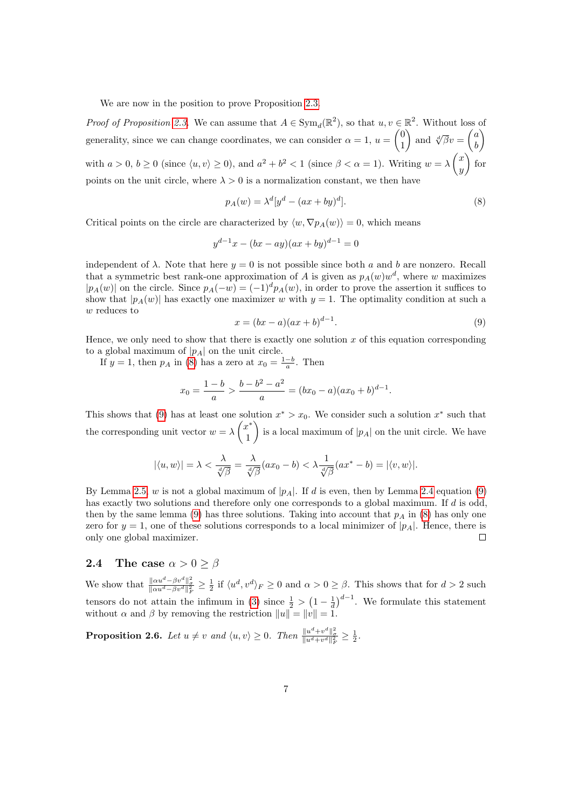We are now in the position to prove Proposition [2.3.](#page-7-1)

*Proof of Proposition [2.3.](#page-7-1)* We can assume that  $A \in Sym_d(\mathbb{R}^2)$ , so that  $u, v \in \mathbb{R}^2$ . Without loss of generality, since we can change coordinates, we can consider  $\alpha = 1, u = \begin{pmatrix} 0 \\ 1 \end{pmatrix}$ 1 ) and  $\sqrt[d]{\beta}v = \begin{pmatrix} a \\ b \end{pmatrix}$ b À with  $a > 0, b \ge 0$  (since  $\langle u, v \rangle \ge 0$ ), and  $a^2 + b^2 < 1$  (since  $\beta < \alpha = 1$ ). Writing  $w = \lambda \begin{pmatrix} x \\ y \end{pmatrix}$  $\hat{y}$  $\int$  for points on the unit circle, where  $\lambda > 0$  is a normalization constant, we then have

<span id="page-8-1"></span>
$$
p_A(w) = \lambda^d [y^d - (ax + by)^d].
$$
\n(8)

Critical points on the circle are characterized by  $\langle w, \nabla p_A(w) \rangle = 0$ , which means

$$
y^{d-1}x - (bx - ay)(ax + by)^{d-1} = 0
$$

independent of  $\lambda$ . Note that here  $y = 0$  is not possible since both a and b are nonzero. Recall that a symmetric best rank-one approximation of A is given as  $p_A(w)w^d$ , where w maximizes  $|p_A(w)|$  on the circle. Since  $p_A(-w) = (-1)^d p_A(w)$ , in order to prove the assertion it suffices to show that  $|p_A(w)|$  has exactly one maximizer w with  $y = 1$ . The optimality condition at such a w reduces to

<span id="page-8-2"></span>
$$
x = (bx - a)(ax + b)^{d-1}.
$$
\n(9)

Hence, we only need to show that there is exactly one solution  $x$  of this equation corresponding to a global maximum of  $|p_A|$  on the unit circle.

If  $y = 1$ , then  $p_A$  in [\(8\)](#page-8-1) has a zero at  $x_0 = \frac{1-b}{a}$ . Then

$$
x_0 = \frac{1-b}{a} > \frac{b-b^2-a^2}{a} = (bx_0-a)(ax_0+b)^{d-1}.
$$

This shows that [\(9\)](#page-8-2) has at least one solution  $x^* > x_0$ . We consider such a solution  $x^*$  such that the corresponding unit vector  $w = \lambda \begin{pmatrix} x^* \\ 1 \end{pmatrix}$ 1 is a local maximum of  $|p_A|$  on the unit circle. We have

$$
|\langle u, w \rangle| = \lambda < \frac{\lambda}{\sqrt[d]{\beta}} = \frac{\lambda}{\sqrt[d]{\beta}}(ax_0 - b) < \lambda \frac{1}{\sqrt[d]{\beta}}(ax^* - b) = |\langle v, w \rangle|.
$$

By Lemma [2.5,](#page-7-3) w is not a global maximum of  $|p_A|$ . If d is even, then by Lemma [2.4](#page-7-4) equation [\(9\)](#page-8-2) has exactly two solutions and therefore only one corresponds to a global maximum. If d is odd, then by the same lemma [\(9\)](#page-8-2) has three solutions. Taking into account that  $p_A$  in [\(8\)](#page-8-1) has only one zero for  $y = 1$ , one of these solutions corresponds to a local minimizer of  $|p_A|$ . Hence, there is only one global maximizer.  $\Box$ 

#### <span id="page-8-0"></span>2.4 The case  $\alpha > 0 > \beta$

We show that  $\frac{\| \alpha u^d - \beta v^d \|_q^2}{\| \alpha u^d - \beta v^d \|_F^2} \ge \frac{1}{2}$  if  $\langle u^d, v^d \rangle_F \ge 0$  and  $\alpha > 0 \ge \beta$ . This shows that for  $d > 2$  such tensors do not attain the infimum in [\(3\)](#page-5-2) since  $\frac{1}{2} > (1 - \frac{1}{d})^{d-1}$ . We formulate this statement without  $\alpha$  and  $\beta$  by removing the restriction  $||u|| = ||v|| = 1$ .

<span id="page-8-3"></span>**Proposition 2.6.** Let  $u \neq v$  and  $\langle u, v \rangle \geq 0$ . Then  $\frac{\|u^d + v^d\|_{\sigma}^2}{\|u^d + v^d\|_F^2} \geq \frac{1}{2}$ .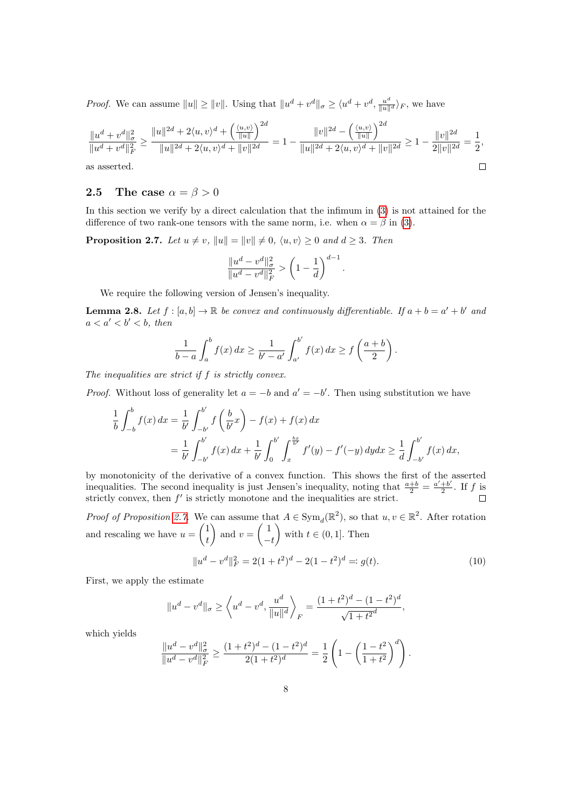*Proof.* We can assume  $||u|| \ge ||v||$ . Using that  $||u^d + v^d||_{\sigma} \ge \langle u^d + v^d, \frac{u^d}{||u||^d}\rangle_F$ , we have

$$
\frac{\|u^d + v^d\|_{\sigma}^2}{\|u^d + v^d\|_{F}^2} \ge \frac{\|u\|^{2d} + 2\langle u, v \rangle^d + \left(\frac{\langle u, v \rangle}{\|u\|}\right)^{2d}}{\|u\|^{2d} + 2\langle u, v \rangle^d + \|v\|^{2d}} = 1 - \frac{\|v\|^{2d} - \left(\frac{\langle u, v \rangle}{\|u\|}\right)^{2d}}{\|u\|^{2d} + 2\langle u, v \rangle^d + \|v\|^{2d}} \ge 1 - \frac{\|v\|^{2d}}{2\|v\|^{2d}} = \frac{1}{2},
$$
as asserted.

as asserted.

### <span id="page-9-0"></span>2.5 The case  $\alpha = \beta > 0$

In this section we verify by a direct calculation that the infimum in [\(3\)](#page-5-2) is not attained for the difference of two rank-one tensors with the same norm, i.e. when  $\alpha = \beta$  in [\(3\)](#page-5-2).

<span id="page-9-1"></span>**Proposition 2.7.** Let  $u \neq v$ ,  $||u|| = ||v|| \neq 0$ ,  $\langle u, v \rangle \geq 0$  and  $d \geq 3$ . Then

$$
\frac{\|u^d-v^d\|_{\sigma}^2}{\|u^d-v^d\|_{F}^2}>\left(1-\frac{1}{d}\right)^{d-1}
$$

.

We require the following version of Jensen's inequality.

<span id="page-9-2"></span>**Lemma 2.8.** Let  $f : [a, b] \to \mathbb{R}$  be convex and continuously differentiable. If  $a + b = a' + b'$  and  $a < a' < b' < b$ , then

$$
\frac{1}{b-a}\int_a^b f(x)\,dx \ge \frac{1}{b'-a'}\int_{a'}^{b'} f(x)\,dx \ge f\left(\frac{a+b}{2}\right).
$$

The inequalities are strict if  $f$  is strictly convex.

*Proof.* Without loss of generality let  $a = -b$  and  $a' = -b'$ . Then using substitution we have

$$
\frac{1}{b} \int_{-b}^{b} f(x) dx = \frac{1}{b'} \int_{-b'}^{b'} f\left(\frac{b}{b'}x\right) - f(x) + f(x) dx
$$
  
= 
$$
\frac{1}{b'} \int_{-b'}^{b'} f(x) dx + \frac{1}{b'} \int_{0}^{b'} \int_{x}^{\frac{bx}{b'}} f'(y) - f'(-y) dy dx \ge \frac{1}{d} \int_{-b'}^{b'} f(x) dx,
$$

by monotonicity of the derivative of a convex function. This shows the first of the asserted inequalities. The second inequality is just Jensen's inequality, noting that  $\frac{a+b}{2} = \frac{a'+b'}{2}$  $rac{+b'}{2}$ . If f is strictly convex, then  $f'$  is strictly monotone and the inequalities are strict.  $\Box$ 

*Proof of Proposition [2.7.](#page-9-1)* We can assume that  $A \in Sym_d(\mathbb{R}^2)$ , so that  $u, v \in \mathbb{R}^2$ . After rotation and rescaling we have  $u = \begin{pmatrix} 1 \\ 1 \end{pmatrix}$ t ) and  $v = \begin{pmatrix} 1 \\ 1 \end{pmatrix}$  $-t$ with  $t \in (0,1]$ . Then

<span id="page-9-3"></span>
$$
||u^{d} - v^{d}||_{F}^{2} = 2(1+t^{2})^{d} - 2(1-t^{2})^{d} =: g(t).
$$
\n(10)

First, we apply the estimate

$$
||u^d - v^d||_{\sigma} \ge \left\langle u^d - v^d, \frac{u^d}{||u||^d} \right\rangle_F = \frac{(1+t^2)^d - (1-t^2)^d}{\sqrt{1+t^2}^d},
$$

which yields

$$
\frac{\|u^d - v^d\|_{\sigma}^2}{\|u^d - v^d\|_{F}^2} \ge \frac{(1+t^2)^d - (1-t^2)^d}{2(1+t^2)^d} = \frac{1}{2}\left(1 - \left(\frac{1-t^2}{1+t^2}\right)^d\right).
$$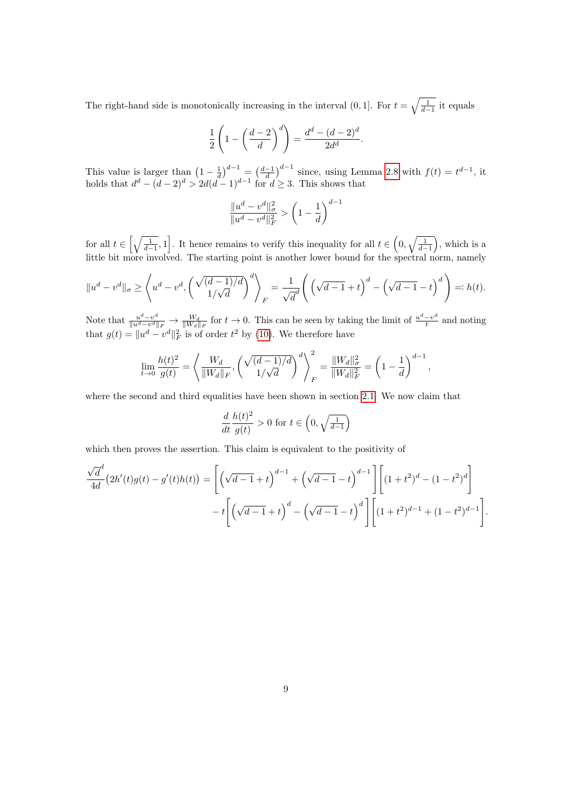The right-hand side is monotonically increasing in the interval  $(0, 1]$ . For  $t = \sqrt{\frac{1}{d-1}}$  it equals

$$
\frac{1}{2}\left(1-\left(\frac{d-2}{d}\right)^d\right) = \frac{d^d - (d-2)^d}{2d^d}.
$$

This value is larger than  $\left(1 - \frac{1}{d}\right)^{d-1} = \left(\frac{d-1}{d}\right)^{d-1}$  since, using Lemma [2.8](#page-9-2) with  $f(t) = t^{d-1}$ , it holds that  $d^d - (d-2)^d > 2d(d-1)^{d-1}$  for  $d \geq 3$ . This shows that

$$
\frac{\|u^d - v^d\|_{\sigma}^2}{\|u^d - v^d\|_{F}^2} > \left(1 - \frac{1}{d}\right)^{d-1}
$$

for all  $t \in \left[\sqrt{\frac{1}{d-1}}, 1\right]$ . It hence remains to verify this inequality for all  $t \in \left(0, \sqrt{\frac{1}{d-1}}\right)$ , which is a little bit more involved. The starting point is another lower bound for the spectral norm, namely

$$
||u^d - v^d||_{\sigma} \ge \left\langle u^d - v^d, \left(\frac{\sqrt{(d-1)/d}}{1/\sqrt{d}}\right)^d \right\rangle_F = \frac{1}{\sqrt{d}} \left(\left(\sqrt{d-1} + t\right)^d - \left(\sqrt{d-1} - t\right)^d\right) =: h(t).
$$

Note that  $\frac{u^d - v^d}{\|u^d - v^d\|}$  $\frac{u^d - v^d}{\|u^d - v^d\|_F}$   $\to \frac{W_d}{\|W_d\|_F}$  for  $t \to 0$ . This can be seen by taking the limit of  $\frac{u^d - v^d}{t}$  $\frac{-v^{\alpha}}{t}$  and noting that  $g(t) = ||u^d - v^d||_F^2$  is of order  $t^2$  by [\(10\)](#page-9-3). We therefore have

$$
\lim_{t \to 0} \frac{h(t)^2}{g(t)} = \left\langle \frac{W_d}{\|W_d\|_F}, \left(\frac{\sqrt{(d-1)/d}}{1/\sqrt{d}}\right)^d \right\rangle_F^2 = \frac{\|W_d\|_{\sigma}^2}{\|W_d\|_F^2} = \left(1 - \frac{1}{d}\right)^{d-1},
$$

where the second and third equalities have been shown in section [2.1.](#page-5-1) We now claim that

$$
\frac{d}{dt}\frac{h(t)^2}{g(t)} > 0 \text{ for } t \in \left(0, \sqrt{\frac{1}{d-1}}\right)
$$

which then proves the assertion. This claim is equivalent to the positivity of

$$
\frac{\sqrt{d}^{d}}{4d} (2h'(t)g(t) - g'(t)h(t)) = \left[ \left(\sqrt{d-1} + t\right)^{d-1} + \left(\sqrt{d-1} - t\right)^{d-1} \right] \left[ (1+t^2)^d - (1-t^2)^d \right] - t \left[ \left(\sqrt{d-1} + t\right)^d - \left(\sqrt{d-1} - t\right)^d \right] \left[ (1+t^2)^{d-1} + (1-t^2)^{d-1} \right].
$$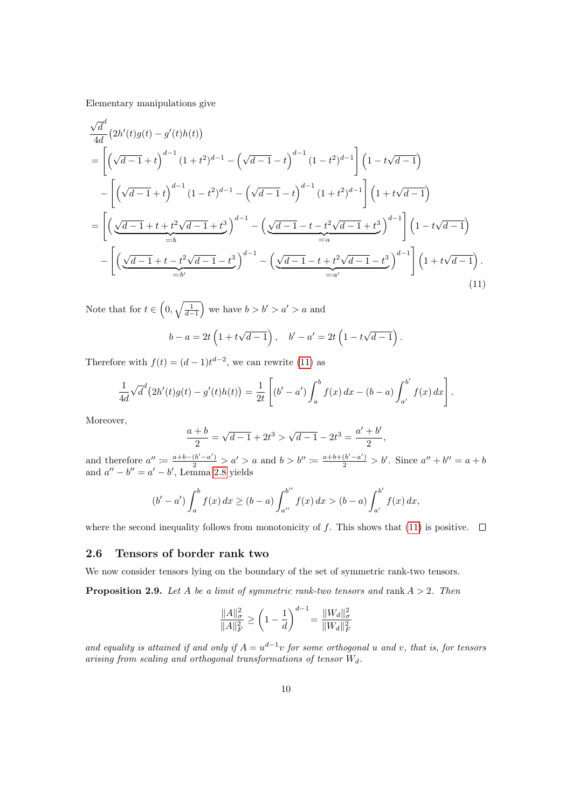Elementary manipulations give

$$
\frac{\sqrt{d}}{4d} (2h'(t)g(t) - g'(t)h(t))
$$
\n
$$
= \left[ \left( \sqrt{d-1} + t \right)^{d-1} (1+t^2)^{d-1} - \left( \sqrt{d-1} - t \right)^{d-1} (1-t^2)^{d-1} \right] \left( 1 - t\sqrt{d-1} \right)
$$
\n
$$
- \left[ \left( \sqrt{d-1} + t \right)^{d-1} (1-t^2)^{d-1} - \left( \sqrt{d-1} - t \right)^{d-1} (1+t^2)^{d-1} \right] \left( 1 + t\sqrt{d-1} \right)
$$
\n
$$
= \left[ \left( \underbrace{\sqrt{d-1} + t + t^2 \sqrt{d-1} + t^3}_{=:b} \right)^{d-1} - \left( \underbrace{\sqrt{d-1} - t - t^2 \sqrt{d-1} + t^3}_{=:a} \right)^{d-1} \right] \left( 1 - t\sqrt{d-1} \right)
$$
\n
$$
- \left[ \left( \underbrace{\sqrt{d-1} + t - t^2 \sqrt{d-1} - t^3}_{=:b} \right)^{d-1} - \left( \underbrace{\sqrt{d-1} - t + t^2 \sqrt{d-1} - t^3}_{=:a} \right)^{d-1} \right] \left( 1 + t\sqrt{d-1} \right).
$$
\n(11)

Note that for  $t \in \left(0, \sqrt{\frac{1}{d-1}}\right)$  we have  $b > b' > a' > a$  and

<span id="page-11-1"></span>
$$
b - a = 2t \left(1 + t\sqrt{d-1}\right), \quad b' - a' = 2t \left(1 - t\sqrt{d-1}\right).
$$

Therefore with  $f(t) = (d-1)t^{d-2}$ , we can rewrite [\(11\)](#page-11-1) as

$$
\frac{1}{4d}\sqrt{d}^{d}(2h'(t)g(t)-g'(t)h(t))=\frac{1}{2t}\left[(b'-a')\int_{a}^{b}f(x)\,dx-(b-a)\int_{a'}^{b'}f(x)\,dx\right].
$$

Moreover,

$$
\frac{a+b}{2} = \sqrt{d-1} + 2t^3 > \sqrt{d-1} - 2t^3 = \frac{a'+b'}{2},
$$

and therefore  $a'' := \frac{a+b-(b'-a')}{2} > a' > a$  and  $b > b'' := \frac{a+b+(b'-a')}{2} > b'$ . Since  $a'' + b'' = a + b$ and  $a'' - b'' = a' - b'$ , Lemma [2.8](#page-9-2) yields

$$
(b'-a')\int_a^b f(x)\,dx \ge (b-a)\int_{a''}^{b''} f(x)\,dx > (b-a)\int_{a'}^{b'} f(x)\,dx,
$$

where the second inequality follows from monotonicity of f. This shows that [\(11\)](#page-11-1) is positive.  $\Box$ 

#### <span id="page-11-0"></span>2.6 Tensors of border rank two

<span id="page-11-2"></span>We now consider tensors lying on the boundary of the set of symmetric rank-two tensors. **Proposition 2.9.** Let A be a limit of symmetric rank-two tensors and rank  $A > 2$ . Then

$$
\frac{\|A\|_{\sigma}^2}{\|A\|_{F}^2} \ge \left(1 - \frac{1}{d}\right)^{d-1} = \frac{\|W_d\|_{\sigma}^2}{\|W_d\|_{F}^2}
$$

and equality is attained if and only if  $A = u^{d-1}v$  for some orthogonal u and v, that is, for tensors arising from scaling and orthogonal transformations of tensor  $W_d$ .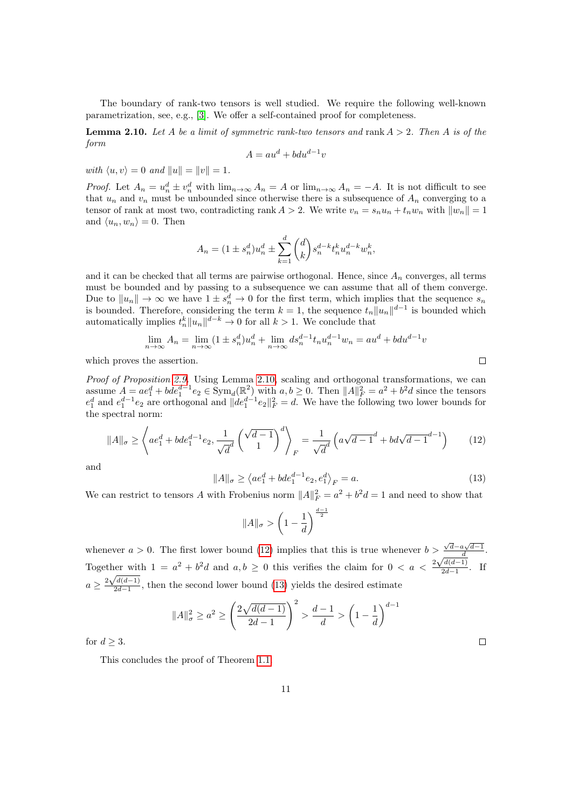The boundary of rank-two tensors is well studied. We require the following well-known parametrization, see, e.g., [\[3\]](#page-14-4). We offer a self-contained proof for completeness.

<span id="page-12-0"></span>**Lemma 2.10.** Let A be a limit of symmetric rank-two tensors and rank  $A > 2$ . Then A is of the form

$$
A = au^d + bdu^{d-1}v
$$

with  $\langle u, v \rangle = 0$  and  $||u|| = ||v|| = 1$ .

*Proof.* Let  $A_n = u_n^d \pm v_n^d$  with  $\lim_{n\to\infty} A_n = A$  or  $\lim_{n\to\infty} A_n = -A$ . It is not difficult to see that  $u_n$  and  $v_n$  must be unbounded since otherwise there is a subsequence of  $A_n$  converging to a tensor of rank at most two, contradicting rank  $A > 2$ . We write  $v_n = s_n u_n + t_n w_n$  with  $||w_n|| = 1$ and  $\langle u_n, w_n \rangle = 0$ . Then

$$
A_n = (1 \pm s_n^d)u_n^d \pm \sum_{k=1}^d \binom{d}{k} s_n^{d-k} t_n^k u_n^{d-k} w_n^k,
$$

and it can be checked that all terms are pairwise orthogonal. Hence, since  $A_n$  converges, all terms must be bounded and by passing to a subsequence we can assume that all of them converge. Due to  $||u_n|| \to \infty$  we have  $1 \pm s_n^d \to 0$  for the first term, which implies that the sequence  $s_n$ is bounded. Therefore, considering the term  $k = 1$ , the sequence  $t_n ||u_n||^{d-1}$  is bounded which automatically implies  $t_n^k ||u_n||^{d-k} \to 0$  for all  $k > 1$ . We conclude that

$$
\lim_{n \to \infty} A_n = \lim_{n \to \infty} (1 \pm s_n^d) u_n^d + \lim_{n \to \infty} ds_n^{d-1} t_n u_n^{d-1} w_n = au^d + b du^{d-1} v
$$

which proves the assertion.

Proof of Proposition [2.9.](#page-11-2) Using Lemma [2.10,](#page-12-0) scaling and orthogonal transformations, we can assume  $A = ae_1^d + bde_1^{d-1}e_2 \in \text{Sym}_d(\mathbb{R}^2)$  with  $a, b \ge 0$ . Then  $||A||_F^2 = a^2 + b^2d$  since the tensors  $e_1^d$  and  $e_1^{d-1}e_2$  are orthogonal and  $||de_1^{d-1}e_2||_F^2 = d$ . We have the following two lower bounds for the spectral norm:

<span id="page-12-1"></span>
$$
||A||_{\sigma} \ge \left\langle ae_1^d + bde_1^{d-1}e_2, \frac{1}{\sqrt{d}} \left(\frac{\sqrt{d-1}}{1}\right)^d \right\rangle_F = \frac{1}{\sqrt{d}} \left(a\sqrt{d-1}^d + bd\sqrt{d-1}^{d-1}\right) \tag{12}
$$

and

<span id="page-12-2"></span>
$$
||A||_{\sigma} \ge \langle ae_1^d + bde_1^{d-1}e_2, e_1^d \rangle_F = a.
$$
 (13)

We can restrict to tensors A with Frobenius norm  $||A||_F^2 = a^2 + b^2d = 1$  and need to show that

$$
||A||_{\sigma} > \left(1 - \frac{1}{d}\right)^{\frac{d-1}{2}}
$$

whenever  $a > 0$ . The first lower bound [\(12\)](#page-12-1) implies that this is true whenever  $b > \frac{\sqrt{d}-a\sqrt{d-1}}{d}$ . Together with  $1 = a^2 + b^2d$  and  $a, b \ge 0$  this verifies the claim for  $0 < a < \frac{2\sqrt{d(d-1)}}{2d-1}$ ther with  $1 = a^2 + b^2d$  and  $a, b \ge 0$  this verifies the claim for  $0 < a < \frac{2\sqrt{a(a-1)}}{2d-1}$ . If  $a \geq \frac{2\sqrt{d(d-1)}}{2d-1}$  $\frac{2d(a-1)}{2d-1}$ , then the second lower bound [\(13\)](#page-12-2) yields the desired estimate

$$
||A||_{\sigma}^{2} \ge a^{2} \ge \left(\frac{2\sqrt{d(d-1)}}{2d-1}\right)^{2} > \frac{d-1}{d} > \left(1 - \frac{1}{d}\right)^{d-1}
$$

for  $d \geq 3$ .

This concludes the proof of Theorem [1.1.](#page-3-0)

 $\Box$ 

 $\Box$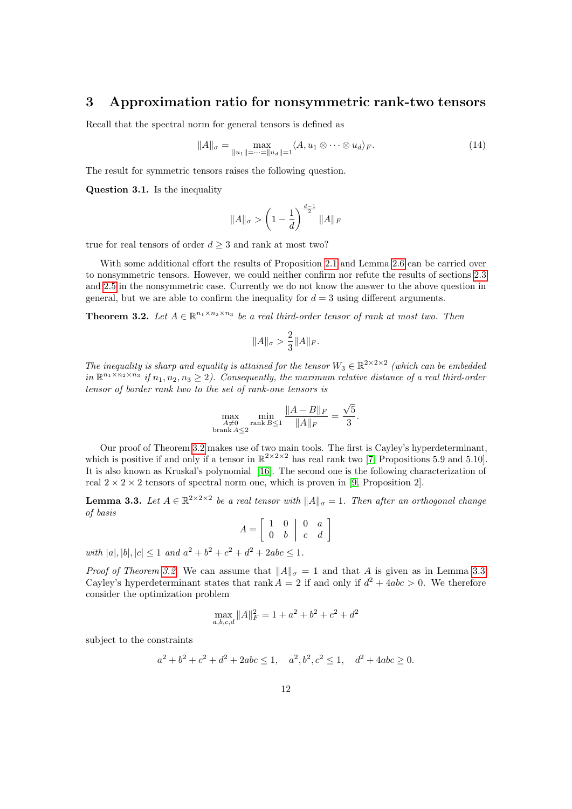# <span id="page-13-0"></span>3 Approximation ratio for nonsymmetric rank-two tensors

Recall that the spectral norm for general tensors is defined as

<span id="page-13-2"></span>
$$
||A||_{\sigma} = \max_{||u_1|| = \dots = ||u_d|| = 1} \langle A, u_1 \otimes \dots \otimes u_d \rangle_F.
$$
 (14)

The result for symmetric tensors raises the following question.

Question 3.1. Is the inequality

$$
||A||_{\sigma} > \left(1 - \frac{1}{d}\right)^{\frac{d-1}{2}} ||A||_F
$$

true for real tensors of order  $d \geq 3$  and rank at most two?

With some additional effort the results of Proposition [2.1](#page-6-0) and Lemma [2.6](#page-8-3) can be carried over to nonsymmetric tensors. However, we could neither confirm nor refute the results of sections [2.3](#page-7-0) and [2.5](#page-9-0) in the nonsymmetric case. Currently we do not know the answer to the above question in general, but we are able to confirm the inequality for  $d = 3$  using different arguments.

<span id="page-13-1"></span>**Theorem 3.2.** Let  $A \in \mathbb{R}^{n_1 \times n_2 \times n_3}$  be a real third-order tensor of rank at most two. Then

$$
||A||_{\sigma} > \frac{2}{3} ||A||_{F}.
$$

The inequality is sharp and equality is attained for the tensor  $W_3 \in \mathbb{R}^{2 \times 2 \times 2}$  (which can be embedded in  $\mathbb{R}^{n_1 \times n_2 \times n_3}$  if  $n_1, n_2, n_3 \geq 2$ ). Consequently, the maximum relative distance of a real third-order tensor of border rank two to the set of rank-one tensors is

$$
\max_{\substack{A \neq 0 \\ \text{branch } A \le 2}} \min_{\text{rank } B \le 1} \frac{\|A - B\|_F}{\|A\|_F} = \frac{\sqrt{5}}{3}.
$$

Our proof of Theorem [3.2](#page-13-1) makes use of two main tools. The first is Cayley's hyperdeterminant, which is positive if and only if a tensor in  $\mathbb{R}^{2 \times 2 \times 2}$  has real rank two [\[7,](#page-15-7) Propositions 5.9 and 5.10]. It is also known as Kruskal's polynomial [\[16\]](#page-15-8). The second one is the following characterization of real  $2 \times 2 \times 2$  tensors of spectral norm one, which is proven in [\[9,](#page-15-9) Proposition 2].

<span id="page-13-3"></span>**Lemma 3.3.** Let  $A \in \mathbb{R}^{2 \times 2 \times 2}$  be a real tensor with  $||A||_{\sigma} = 1$ . Then after an orthogonal change of basis

$$
A = \left[ \begin{array}{cc} 1 & 0 \\ 0 & b \end{array} \middle| \begin{array}{cc} 0 & a \\ c & d \end{array} \right]
$$

with  $|a|, |b|, |c| \leq 1$  and  $a^2 + b^2 + c^2 + d^2 + 2abc \leq 1$ .

*Proof of Theorem [3.2.](#page-13-1)* We can assume that  $||A||_{\sigma} = 1$  and that A is given as in Lemma [3.3.](#page-13-3) Cayley's hyperdeterminant states that rank  $A = 2$  if and only if  $d^2 + 4abc > 0$ . We therefore consider the optimization problem

$$
\max_{a,b,c,d} \|A\|_F^2 = 1 + a^2 + b^2 + c^2 + d^2
$$

subject to the constraints

$$
a^2 + b^2 + c^2 + d^2 + 2abc \le 1
$$
,  $a^2, b^2, c^2 \le 1$ ,  $d^2 + 4abc \ge 0$ .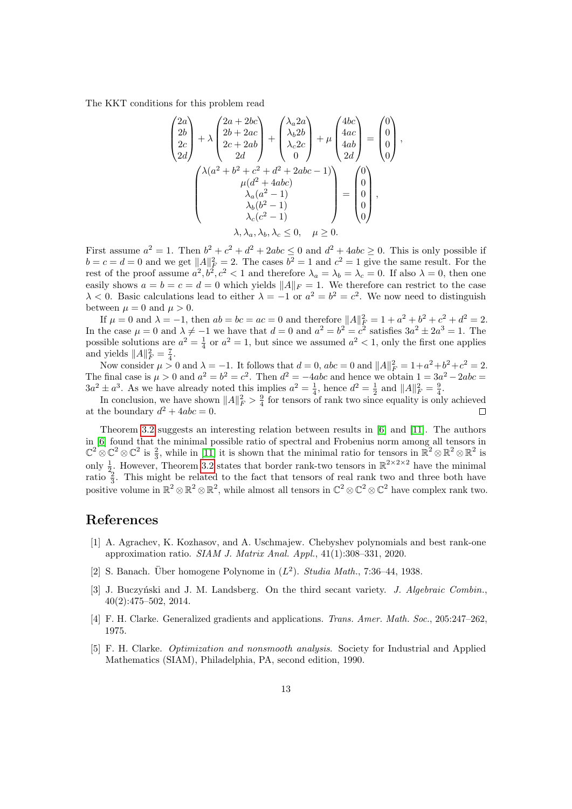The KKT conditions for this problem read

$$
\begin{pmatrix}\n2a \\
2b \\
2c \\
2d\n\end{pmatrix} + \lambda \begin{pmatrix}\n2a + 2bc \\
2b + 2ac \\
2c + 2ab \\
2d\n\end{pmatrix} + \begin{pmatrix}\n\lambda_a 2a \\
\lambda_b 2b \\
\lambda_c 2c \\
0\n\end{pmatrix} + \mu \begin{pmatrix}\n4bc \\
4ac \\
4ab \\
2d\n\end{pmatrix} = \begin{pmatrix}\n0 \\
0 \\
0 \\
0\n\end{pmatrix},
$$
\n
$$
\begin{pmatrix}\n\lambda(a^2 + b^2 + c^2 + d^2 + 2abc - 1) \\
\mu(d^2 + 4abc) \\
\lambda_a(a^2 - 1) \\
\lambda_b(b^2 - 1) \\
\lambda_c(c^2 - 1)\n\end{pmatrix} = \begin{pmatrix}\n0 \\
0 \\
0 \\
0 \\
0\n\end{pmatrix},
$$
\n
$$
\lambda, \lambda_a, \lambda_b, \lambda_c \leq 0, \quad \mu \geq 0.
$$

First assume  $a^2 = 1$ . Then  $b^2 + c^2 + d^2 + 2abc \le 0$  and  $d^2 + 4abc \ge 0$ . This is only possible if  $b = c = d = 0$  and we get  $||A||_F^2 = 2$ . The cases  $b^2 = 1$  and  $c^2 = 1$  give the same result. For the rest of the proof assume  $a^2, b^2, c^2 < 1$  and therefore  $\lambda_a = \lambda_b = \lambda_c = 0$ . If also  $\lambda = 0$ , then one easily shows  $a = b = c = d = 0$  which yields  $||A||_F = 1$ . We therefore can restrict to the case  $\lambda < 0$ . Basic calculations lead to either  $\lambda = -1$  or  $a^2 = b^2 = c^2$ . We now need to distinguish between  $\mu = 0$  and  $\mu > 0$ .

If  $\mu = 0$  and  $\lambda = -1$ , then  $ab = bc = ac = 0$  and therefore  $||A||_F^2 = 1 + a^2 + b^2 + c^2 + d^2 = 2$ . In the case  $\mu = 0$  and  $\lambda \neq -1$  we have that  $d = 0$  and  $a^2 = b^2 = c^2$  satisfies  $3a^2 \pm 2a^3 = 1$ . The possible solutions are  $a^2 = \frac{1}{4}$  or  $a^2 = 1$ , but since we assumed  $a^2 < 1$ , only the first one applies and yields  $||A||_F^2 = \frac{7}{4}$ .

Now consider  $\mu > 0$  and  $\lambda = -1$ . It follows that  $d = 0$ ,  $abc = 0$  and  $||A||_F^2 = 1 + a^2 + b^2 + c^2 = 2$ . The final case is  $\mu > 0$  and  $a^2 = b^2 = c^2$ . Then  $d^2 = -4abc$  and hence we obtain  $1 = 3a^2 - 2abc$  $3a^2 \pm a^3$ . As we have already noted this implies  $a^2 = \frac{1}{4}$ , hence  $d^2 = \frac{1}{2}$  and  $||A||_F^2 = \frac{9}{4}$ .

In conclusion, we have shown  $||A||_F^2 > \frac{9}{4}$  for tensors of rank two since equality is only achieved at the boundary  $d^2 + 4abc = 0$ .  $\Box$ 

Theorem [3.2](#page-13-1) suggests an interesting relation between results in [\[6\]](#page-15-10) and [\[11\]](#page-15-11). The authors in [\[6\]](#page-15-10) found that the minimal possible ratio of spectral and Frobenius norm among all tensors in  $\mathbb{C}^2 \otimes \mathbb{C}^2 \otimes \mathbb{C}^2$  is  $\frac{2}{3}$ , while in [\[11\]](#page-15-11) it is shown that the minimal ratio for tensors in  $\mathbb{R}^2 \otimes \mathbb{R}^2 \otimes \mathbb{R}^2$  is only  $\frac{1}{2}$ . However, Theorem [3.2](#page-13-1) states that border rank-two tensors in  $\mathbb{R}^{2 \times 2 \times 2}$  have the minimal ratio  $\frac{2}{3}$ . This might be related to the fact that tensors of real rank two and three both have positive volume in  $\mathbb{R}^2 \otimes \mathbb{R}^2 \otimes \mathbb{R}^2$ , while almost all tensors in  $\mathbb{C}^2 \otimes \mathbb{C}^2 \otimes \mathbb{C}^2$  have complex rank two.

# References

- <span id="page-14-0"></span>[1] A. Agrachev, K. Kozhasov, and A. Uschmajew. Chebyshev polynomials and best rank-one approximation ratio. SIAM J. Matrix Anal. Appl., 41(1):308–331, 2020.
- <span id="page-14-1"></span>[2] S. Banach. Über homogene Polynome in  $(L^2)$ . Studia Math., 7:36-44, 1938.
- <span id="page-14-4"></span>[3] J. Buczyński and J. M. Landsberg. On the third secant variety. J. Algebraic Combin., 40(2):475–502, 2014.
- <span id="page-14-3"></span>[4] F. H. Clarke. Generalized gradients and applications. Trans. Amer. Math. Soc., 205:247–262, 1975.
- <span id="page-14-2"></span>[5] F. H. Clarke. Optimization and nonsmooth analysis. Society for Industrial and Applied Mathematics (SIAM), Philadelphia, PA, second edition, 1990.